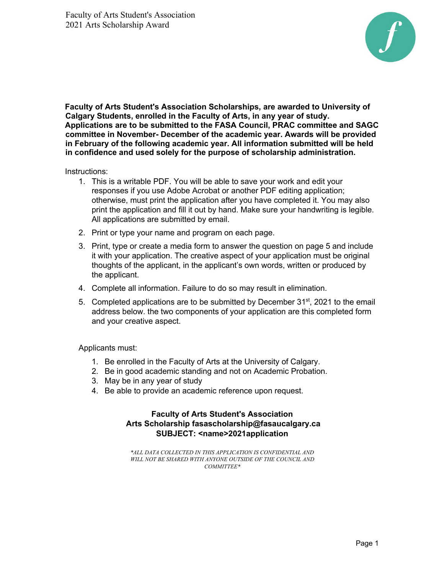

**Faculty of Arts Student's Association Scholarships, are awarded to University of Calgary Students, enrolled in the Faculty of Arts, in any year of study. Applications are to be submitted to the FASA Council, PRAC committee and SAGC committee in November- December of the academic year. Awards will be provided in February of the following academic year. All information submitted will be held in confidence and used solely for the purpose of scholarship administration.** 

Instructions:

- 1. This is a writable PDF. You will be able to save your work and edit your responses if you use Adobe Acrobat or another PDF editing application; otherwise, must print the application after you have completed it. You may also print the application and fill it out by hand. Make sure your handwriting is legible. All applications are submitted by email.
- 2. Print or type your name and program on each page.
- 3. Print, type or create a media form to answer the question on page 5 and include it with your application. The creative aspect of your application must be original thoughts of the applicant, in the applicant's own words, written or produced by the applicant.
- 4. Complete all information. Failure to do so may result in elimination.
- 5. Completed applications are to be submitted by December  $31<sup>st</sup>$ , 2021 to the email address below. the two components of your application are this completed form and your creative aspect.

Applicants must:

- 1. Be enrolled in the Faculty of Arts at the University of Calgary.
- 2. Be in good academic standing and not on Academic Probation.
- 3. May be in any year of study
- 4. Be able to provide an academic reference upon request.

## **Faculty of Arts Student's Association Arts Scholarship fasascholarship@fasaucalgary.ca SUBJECT: <name>2021application**

*\*ALL DATA COLLECTED IN THIS APPLICATION IS CONFIDENTIAL AND*  WILL NOT BE SHARED WITH ANYONE OUTSIDE OF THE COUNCIL AND *COMMITTEE\**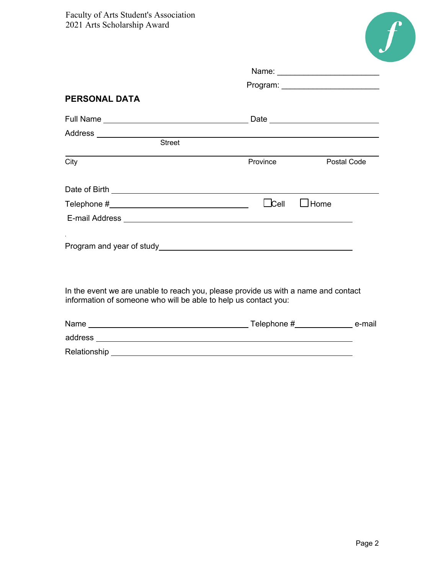

|                                                                 | Program: __________________________                                                |             |
|-----------------------------------------------------------------|------------------------------------------------------------------------------------|-------------|
| <b>PERSONAL DATA</b>                                            |                                                                                    |             |
|                                                                 |                                                                                    |             |
| Address ____________________                                    |                                                                                    |             |
| <b>Street</b>                                                   |                                                                                    |             |
| City                                                            | Province                                                                           | Postal Code |
|                                                                 |                                                                                    |             |
|                                                                 | $\sqcup$ Cell<br>$\Box$ Home                                                       |             |
|                                                                 | E-mail Address <b>E-mail Address</b>                                               |             |
|                                                                 |                                                                                    |             |
| information of someone who will be able to help us contact you: | In the event we are unable to reach you, please provide us with a name and contact |             |
|                                                                 |                                                                                    |             |
|                                                                 |                                                                                    |             |
|                                                                 |                                                                                    |             |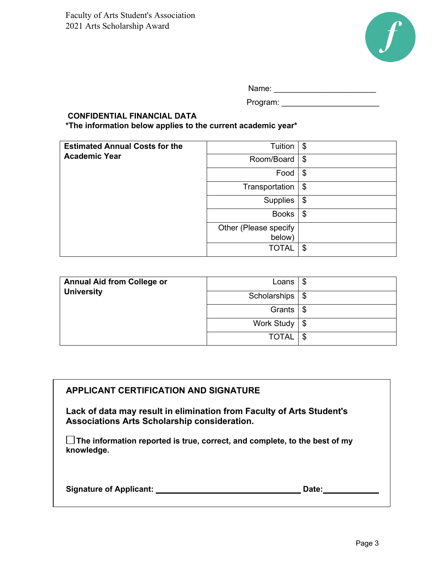

Name:  $\Box$ 

Program:

## **CONFIDENTIAL FINANCIAL DATA \*The information below applies to the current academic year\***

**Estimated Annual Costs for the Academic Year**  Tuition  $\vert \$$  $Room/Board$  \$ Food \$ Transportation \$ Supplies \$ Books  $\frac{1}{3}$ Other (Please specify below)  $TOTAL$   $\frac{1}{3}$ 

| <b>Annual Aid from College or</b><br><b>University</b> | Loans                      | \$ |
|--------------------------------------------------------|----------------------------|----|
|                                                        | Scholarships $\frac{1}{3}$ |    |
|                                                        | Grants                     | \$ |
|                                                        | Work Study   \$            |    |
|                                                        | <b>TOTAL</b>               | \$ |

## **APPLICANT CERTIFICATION AND SIGNATURE**

**Lack of data may result in elimination from Faculty of Arts Student's Associations Arts Scholarship consideration.** 

**The information reported is true, correct, and complete, to the best of my knowledge.** 

| <b>Signature of Applicant:</b> | Date: |  |
|--------------------------------|-------|--|
|                                |       |  |